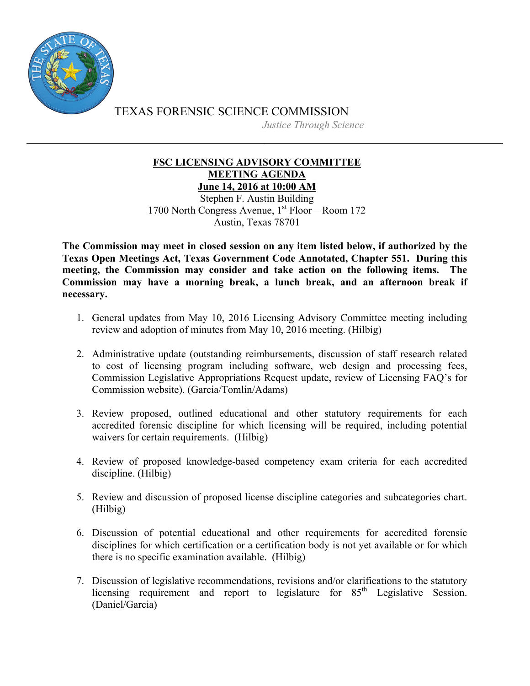

TEXAS FORENSIC SCIENCE COMMISSION *Justice Through Science*

## **FSC LICENSING ADVISORY COMMITTEE MEETING AGENDA June 14, 2016 at 10:00 AM**

Stephen F. Austin Building 1700 North Congress Avenue,  $1<sup>st</sup>$  Floor – Room 172 Austin, Texas 78701

**The Commission may meet in closed session on any item listed below, if authorized by the Texas Open Meetings Act, Texas Government Code Annotated, Chapter 551. During this meeting, the Commission may consider and take action on the following items. The Commission may have a morning break, a lunch break, and an afternoon break if necessary.**

- 1. General updates from May 10, 2016 Licensing Advisory Committee meeting including review and adoption of minutes from May 10, 2016 meeting. (Hilbig)
- 2. Administrative update (outstanding reimbursements, discussion of staff research related to cost of licensing program including software, web design and processing fees, Commission Legislative Appropriations Request update, review of Licensing FAQ's for Commission website). (Garcia/Tomlin/Adams)
- 3. Review proposed, outlined educational and other statutory requirements for each accredited forensic discipline for which licensing will be required, including potential waivers for certain requirements. (Hilbig)
- 4. Review of proposed knowledge-based competency exam criteria for each accredited discipline. (Hilbig)
- 5. Review and discussion of proposed license discipline categories and subcategories chart. (Hilbig)
- 6. Discussion of potential educational and other requirements for accredited forensic disciplines for which certification or a certification body is not yet available or for which there is no specific examination available. (Hilbig)
- 7. Discussion of legislative recommendations, revisions and/or clarifications to the statutory licensing requirement and report to legislature for  $85<sup>th</sup>$  Legislative Session. (Daniel/Garcia)